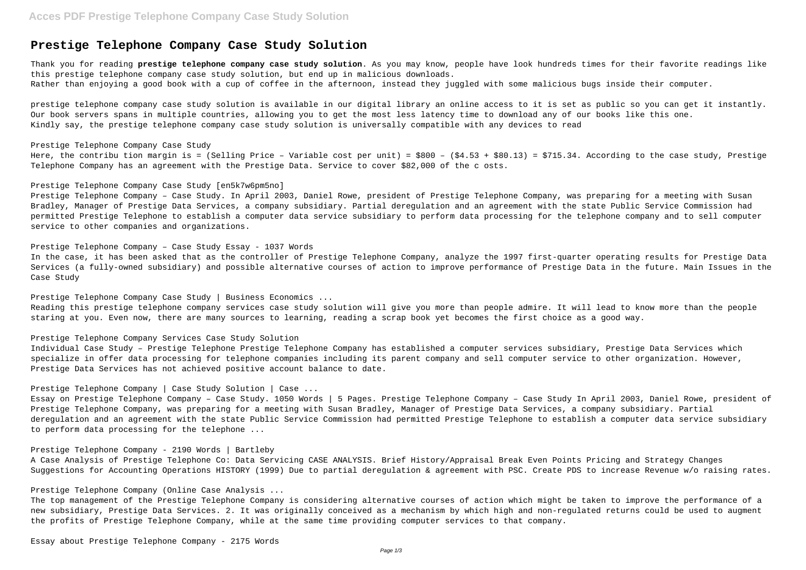## **Prestige Telephone Company Case Study Solution**

Thank you for reading **prestige telephone company case study solution**. As you may know, people have look hundreds times for their favorite readings like this prestige telephone company case study solution, but end up in malicious downloads. Rather than enjoying a good book with a cup of coffee in the afternoon, instead they juggled with some malicious bugs inside their computer.

prestige telephone company case study solution is available in our digital library an online access to it is set as public so you can get it instantly. Our book servers spans in multiple countries, allowing you to get the most less latency time to download any of our books like this one. Kindly say, the prestige telephone company case study solution is universally compatible with any devices to read

### Prestige Telephone Company Case Study

Here, the contribu tion margin is = (Selling Price – Variable cost per unit) = \$800 – (\$4.53 + \$80.13) = \$715.34. According to the case study, Prestige Telephone Company has an agreement with the Prestige Data. Service to cover \$82,000 of the c osts.

Prestige Telephone Company Case Study [en5k7w6pm5no]

Prestige Telephone Company – Case Study. In April 2003, Daniel Rowe, president of Prestige Telephone Company, was preparing for a meeting with Susan Bradley, Manager of Prestige Data Services, a company subsidiary. Partial deregulation and an agreement with the state Public Service Commission had permitted Prestige Telephone to establish a computer data service subsidiary to perform data processing for the telephone company and to sell computer service to other companies and organizations.

Prestige Telephone Company – Case Study Essay - 1037 Words

In the case, it has been asked that as the controller of Prestige Telephone Company, analyze the 1997 first-quarter operating results for Prestige Data Services (a fully-owned subsidiary) and possible alternative courses of action to improve performance of Prestige Data in the future. Main Issues in the Case Study

Prestige Telephone Company Case Study | Business Economics ...

Reading this prestige telephone company services case study solution will give you more than people admire. It will lead to know more than the people staring at you. Even now, there are many sources to learning, reading a scrap book yet becomes the first choice as a good way.

### Prestige Telephone Company Services Case Study Solution

Individual Case Study – Prestige Telephone Prestige Telephone Company has established a computer services subsidiary, Prestige Data Services which specialize in offer data processing for telephone companies including its parent company and sell computer service to other organization. However, Prestige Data Services has not achieved positive account balance to date.

Prestige Telephone Company | Case Study Solution | Case ...

Essay on Prestige Telephone Company – Case Study. 1050 Words | 5 Pages. Prestige Telephone Company – Case Study In April 2003, Daniel Rowe, president of Prestige Telephone Company, was preparing for a meeting with Susan Bradley, Manager of Prestige Data Services, a company subsidiary. Partial deregulation and an agreement with the state Public Service Commission had permitted Prestige Telephone to establish a computer data service subsidiary to perform data processing for the telephone ...

### Prestige Telephone Company - 2190 Words | Bartleby

A Case Analysis of Prestige Telephone Co: Data Servicing CASE ANALYSIS. Brief History/Appraisal Break Even Points Pricing and Strategy Changes Suggestions for Accounting Operations HISTORY (1999) Due to partial deregulation & agreement with PSC. Create PDS to increase Revenue w/o raising rates.

Prestige Telephone Company (Online Case Analysis ...

The top management of the Prestige Telephone Company is considering alternative courses of action which might be taken to improve the performance of a new subsidiary, Prestige Data Services. 2. It was originally conceived as a mechanism by which high and non-regulated returns could be used to augment the profits of Prestige Telephone Company, while at the same time providing computer services to that company.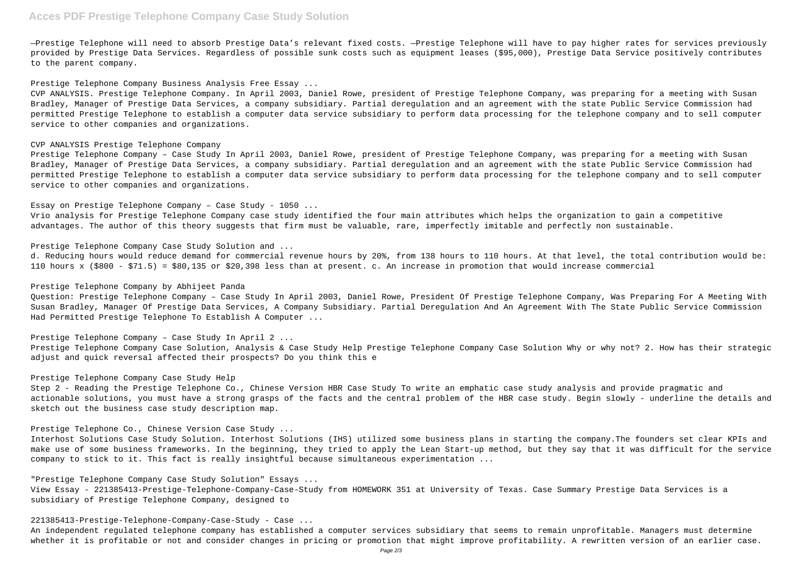# **Acces PDF Prestige Telephone Company Case Study Solution**

—Prestige Telephone will need to absorb Prestige Data's relevant fixed costs. —Prestige Telephone will have to pay higher rates for services previously provided by Prestige Data Services. Regardless of possible sunk costs such as equipment leases (\$95,000), Prestige Data Service positively contributes to the parent company.

Prestige Telephone Company Business Analysis Free Essay ...

CVP ANALYSIS. Prestige Telephone Company. In April 2003, Daniel Rowe, president of Prestige Telephone Company, was preparing for a meeting with Susan Bradley, Manager of Prestige Data Services, a company subsidiary. Partial deregulation and an agreement with the state Public Service Commission had permitted Prestige Telephone to establish a computer data service subsidiary to perform data processing for the telephone company and to sell computer service to other companies and organizations.

### CVP ANALYSIS Prestige Telephone Company

Prestige Telephone Company – Case Study In April 2003, Daniel Rowe, president of Prestige Telephone Company, was preparing for a meeting with Susan Bradley, Manager of Prestige Data Services, a company subsidiary. Partial deregulation and an agreement with the state Public Service Commission had permitted Prestige Telephone to establish a computer data service subsidiary to perform data processing for the telephone company and to sell computer service to other companies and organizations.

Essay on Prestige Telephone Company – Case Study - 1050 ...

Vrio analysis for Prestige Telephone Company case study identified the four main attributes which helps the organization to gain a competitive advantages. The author of this theory suggests that firm must be valuable, rare, imperfectly imitable and perfectly non sustainable.

### Prestige Telephone Company Case Study Solution and ...

d. Reducing hours would reduce demand for commercial revenue hours by 20%, from 138 hours to 110 hours. At that level, the total contribution would be: 110 hours x (\$800 - \$71.5) = \$80,135 or \$20,398 less than at present. c. An increase in promotion that would increase commercial

### Prestige Telephone Company by Abhijeet Panda

Question: Prestige Telephone Company – Case Study In April 2003, Daniel Rowe, President Of Prestige Telephone Company, Was Preparing For A Meeting With Susan Bradley, Manager Of Prestige Data Services, A Company Subsidiary. Partial Deregulation And An Agreement With The State Public Service Commission Had Permitted Prestige Telephone To Establish A Computer ...

Prestige Telephone Company – Case Study In April 2 ...

Prestige Telephone Company Case Solution, Analysis & Case Study Help Prestige Telephone Company Case Solution Why or why not? 2. How has their strategic adjust and quick reversal affected their prospects? Do you think this e

### Prestige Telephone Company Case Study Help

Step 2 - Reading the Prestige Telephone Co., Chinese Version HBR Case Study To write an emphatic case study analysis and provide pragmatic and actionable solutions, you must have a strong grasps of the facts and the central problem of the HBR case study. Begin slowly - underline the details and sketch out the business case study description map.

Prestige Telephone Co., Chinese Version Case Study ...

Interhost Solutions Case Study Solution. Interhost Solutions (IHS) utilized some business plans in starting the company.The founders set clear KPIs and make use of some business frameworks. In the beginning, they tried to apply the Lean Start-up method, but they say that it was difficult for the service company to stick to it. This fact is really insightful because simultaneous experimentation ...

"Prestige Telephone Company Case Study Solution" Essays ...

View Essay - 221385413-Prestige-Telephone-Company-Case-Study from HOMEWORK 351 at University of Texas. Case Summary Prestige Data Services is a subsidiary of Prestige Telephone Company, designed to

221385413-Prestige-Telephone-Company-Case-Study - Case ...

An independent regulated telephone company has established a computer services subsidiary that seems to remain unprofitable. Managers must determine whether it is profitable or not and consider changes in pricing or promotion that might improve profitability. A rewritten version of an earlier case.